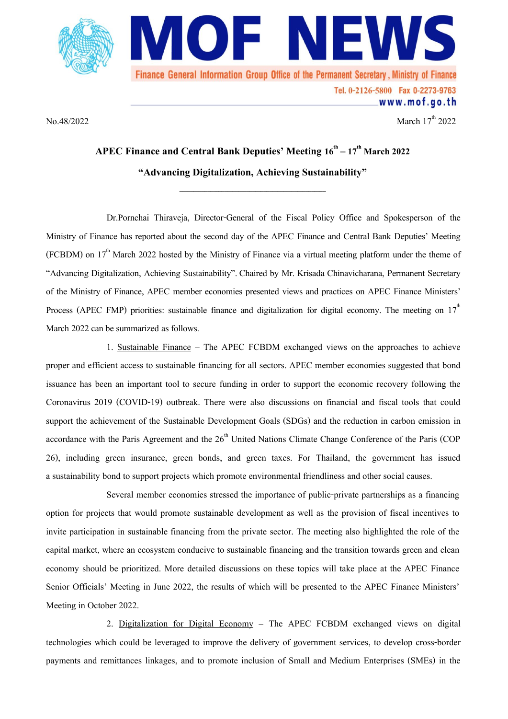

No.48/2022March 17 March  $17<sup>th</sup>$  2022

www.mof.go.th

## **APEC Finance and Central Bank Deputies' Meeting 16th –17 th March 2022 "Advancing Digitalization, Achieving Sustainability"**

**\_\_\_\_\_\_\_\_\_\_\_\_\_\_\_\_\_\_\_\_\_\_\_\_\_\_\_\_\_\_\_\_\_\_\_\_\_\_\_\_\_\_\_\_\_\_\_\_\_\_\_\_**

Dr.Pornchai Thiraveja, Director-General of the Fiscal Policy Office and Spokesperson of the Ministry of Finance has reported about the second day of the APEC Finance and Central Bank Deputies' Meeting (FCBDM) on  $17<sup>th</sup>$  March 2022 hosted by the Ministry of Finance via a virtual meeting platform under the theme of "Advancing Digitalization, Achieving Sustainability". Chaired by Mr. Krisada Chinavicharana, Permanent Secretary of the Ministry of Finance, APEC member economies presented views and practices on APEC Finance Ministers' Process (APEC FMP) priorities: sustainable finance and digitalization for digital economy. The meeting on  $17<sup>th</sup>$ March 2022 can be summarized as follows.

1. Sustainable Finance – The APEC FCBDM exchanged views on the approaches to achieve proper and efficient access to sustainable financing for all sectors. APEC member economies suggested that bond issuance has been an important tool to secure funding in order to support the economic recovery following the Coronavirus 2019 (COVID-19) outbreak. There were also discussions on financial and fiscal tools that could support the achievement of the Sustainable Development Goals (SDGs) and the reduction in carbon emission in accordance with the Paris Agreement and the  $26<sup>th</sup>$  United Nations Climate Change Conference of the Paris (COP 26), including green insurance, green bonds, and green taxes. For Thailand, the government has issued a sustainability bond to support projects which promote environmental friendliness and other social causes.

Several member economies stressed the importance of public-private partnerships as a financing option for projects that would promote sustainable development as well as the provision of fiscal incentives to invite participation in sustainable financing from the private sector. The meeting also highlighted the role of the capital market, where an ecosystem conducive to sustainable financing and the transition towards green and clean economy should be prioritized. More detailed discussions on these topics will take place at the APEC Finance Senior Officials' Meeting in June 2022, the results of which will be presented to the APEC Finance Ministers' Meeting in October 2022.

2. Digitalization for Digital Economy – The APEC FCBDM exchanged views on digital technologies which could be leveraged to improve the delivery of government services, to develop cross-border payments and remittances linkages, and to promote inclusion of Small and Medium Enterprises (SMEs) in the